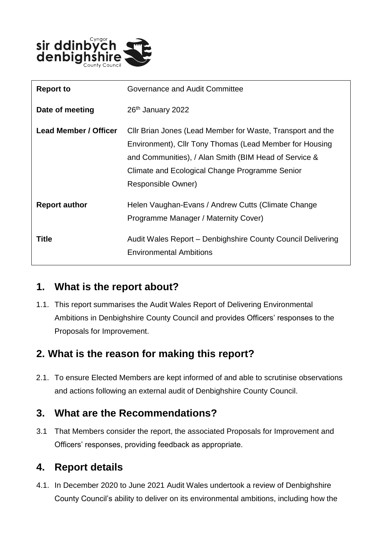

| <b>Report to</b>             | Governance and Audit Committee                                                                                                                                                                                                                         |
|------------------------------|--------------------------------------------------------------------------------------------------------------------------------------------------------------------------------------------------------------------------------------------------------|
| Date of meeting              | 26 <sup>th</sup> January 2022                                                                                                                                                                                                                          |
| <b>Lead Member / Officer</b> | Cllr Brian Jones (Lead Member for Waste, Transport and the<br>Environment), Cllr Tony Thomas (Lead Member for Housing<br>and Communities), / Alan Smith (BIM Head of Service &<br>Climate and Ecological Change Programme Senior<br>Responsible Owner) |
| <b>Report author</b>         | Helen Vaughan-Evans / Andrew Cutts (Climate Change<br>Programme Manager / Maternity Cover)                                                                                                                                                             |
| Title                        | Audit Wales Report - Denbighshire County Council Delivering<br><b>Environmental Ambitions</b>                                                                                                                                                          |

#### **1. What is the report about?**

1.1. This report summarises the Audit Wales Report of Delivering Environmental Ambitions in Denbighshire County Council and provides Officers' responses to the Proposals for Improvement.

# **2. What is the reason for making this report?**

2.1. To ensure Elected Members are kept informed of and able to scrutinise observations and actions following an external audit of Denbighshire County Council.

#### **3. What are the Recommendations?**

3.1 That Members consider the report, the associated Proposals for Improvement and Officers' responses, providing feedback as appropriate.

# **4. Report details**

4.1. In December 2020 to June 2021 Audit Wales undertook a review of Denbighshire County Council's ability to deliver on its environmental ambitions, including how the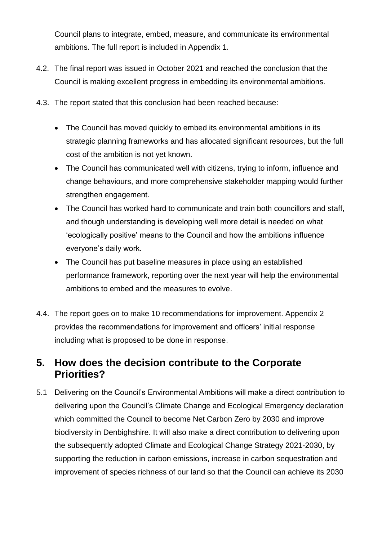Council plans to integrate, embed, measure, and communicate its environmental ambitions. The full report is included in Appendix 1.

- 4.2. The final report was issued in October 2021 and reached the conclusion that the Council is making excellent progress in embedding its environmental ambitions.
- 4.3. The report stated that this conclusion had been reached because:
	- The Council has moved quickly to embed its environmental ambitions in its strategic planning frameworks and has allocated significant resources, but the full cost of the ambition is not yet known.
	- The Council has communicated well with citizens, trying to inform, influence and change behaviours, and more comprehensive stakeholder mapping would further strengthen engagement.
	- The Council has worked hard to communicate and train both councillors and staff, and though understanding is developing well more detail is needed on what 'ecologically positive' means to the Council and how the ambitions influence everyone's daily work.
	- The Council has put baseline measures in place using an established performance framework, reporting over the next year will help the environmental ambitions to embed and the measures to evolve.
- 4.4. The report goes on to make 10 recommendations for improvement. Appendix 2 provides the recommendations for improvement and officers' initial response including what is proposed to be done in response.

#### **5. How does the decision contribute to the Corporate Priorities?**

5.1 Delivering on the Council's Environmental Ambitions will make a direct contribution to delivering upon the Council's Climate Change and Ecological Emergency declaration which committed the Council to become Net Carbon Zero by 2030 and improve biodiversity in Denbighshire. It will also make a direct contribution to delivering upon the subsequently adopted Climate and Ecological Change Strategy 2021-2030, by supporting the reduction in carbon emissions, increase in carbon sequestration and improvement of species richness of our land so that the Council can achieve its 2030